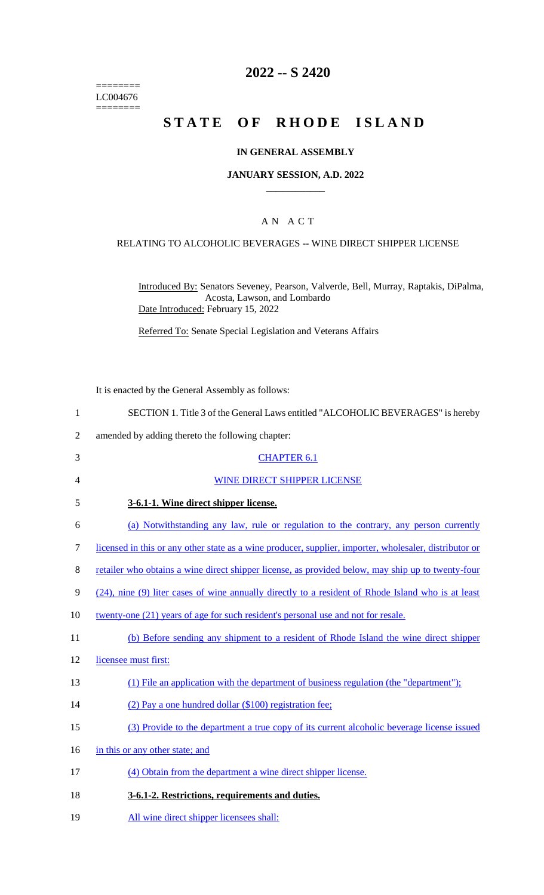======== LC004676  $=$ 

# **2022 -- S 2420**

# **STATE OF RHODE ISLAND**

## **IN GENERAL ASSEMBLY**

#### **JANUARY SESSION, A.D. 2022 \_\_\_\_\_\_\_\_\_\_\_\_**

## A N A C T

### RELATING TO ALCOHOLIC BEVERAGES -- WINE DIRECT SHIPPER LICENSE

Introduced By: Senators Seveney, Pearson, Valverde, Bell, Murray, Raptakis, DiPalma, Acosta, Lawson, and Lombardo Date Introduced: February 15, 2022

Referred To: Senate Special Legislation and Veterans Affairs

It is enacted by the General Assembly as follows:

| 1              | SECTION 1. Title 3 of the General Laws entitled "ALCOHOLIC BEVERAGES" is hereby                        |
|----------------|--------------------------------------------------------------------------------------------------------|
| $\overline{2}$ | amended by adding thereto the following chapter:                                                       |
| 3              | <b>CHAPTER 6.1</b>                                                                                     |
| 4              | WINE DIRECT SHIPPER LICENSE                                                                            |
| 5              | 3-6.1-1. Wine direct shipper license.                                                                  |
| 6              | (a) Notwithstanding any law, rule or regulation to the contrary, any person currently                  |
| 7              | licensed in this or any other state as a wine producer, supplier, importer, wholesaler, distributor or |
| 8              | retailer who obtains a wine direct shipper license, as provided below, may ship up to twenty-four      |
| 9              | (24), nine (9) liter cases of wine annually directly to a resident of Rhode Island who is at least     |
| 10             | twenty-one (21) years of age for such resident's personal use and not for resale.                      |
| 11             | (b) Before sending any shipment to a resident of Rhode Island the wine direct shipper                  |
| 12             | licensee must first:                                                                                   |
| 13             | (1) File an application with the department of business regulation (the "department");                 |
| 14             | (2) Pay a one hundred dollar (\$100) registration fee;                                                 |
| 15             | (3) Provide to the department a true copy of its current alcoholic beverage license issued             |
| 16             | in this or any other state; and                                                                        |
| 17             | (4) Obtain from the department a wine direct shipper license.                                          |
| 18             | 3-6.1-2. Restrictions, requirements and duties.                                                        |
| 19             | All wine direct shipper licensees shall:                                                               |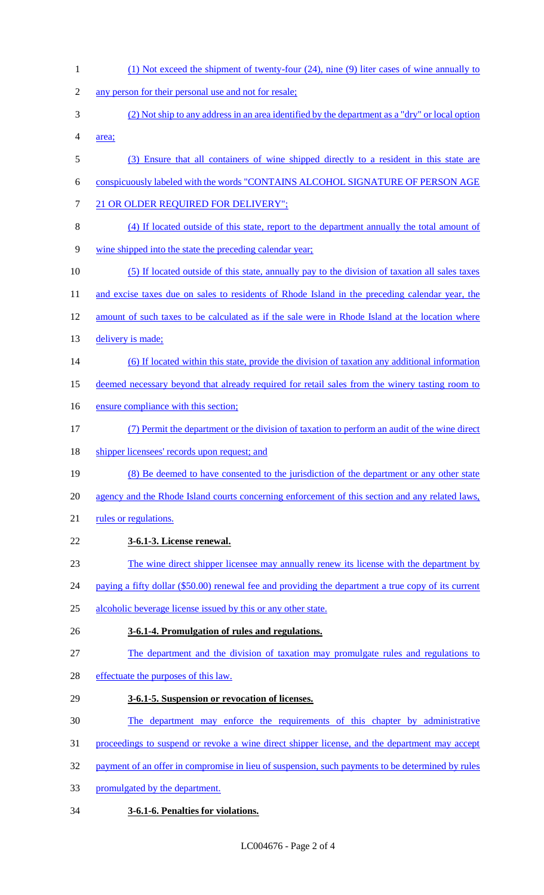(1) Not exceed the shipment of twenty-four (24), nine (9) liter cases of wine annually to any person for their personal use and not for resale; (2) Not ship to any address in an area identified by the department as a "dry" or local option area; (3) Ensure that all containers of wine shipped directly to a resident in this state are conspicuously labeled with the words "CONTAINS ALCOHOL SIGNATURE OF PERSON AGE 7 21 OR OLDER REQUIRED FOR DELIVERY"; (4) If located outside of this state, report to the department annually the total amount of wine shipped into the state the preceding calendar year; (5) If located outside of this state, annually pay to the division of taxation all sales taxes 11 and excise taxes due on sales to residents of Rhode Island in the preceding calendar year, the amount of such taxes to be calculated as if the sale were in Rhode Island at the location where 13 delivery is made; (6) If located within this state, provide the division of taxation any additional information deemed necessary beyond that already required for retail sales from the winery tasting room to 16 ensure compliance with this section; (7) Permit the department or the division of taxation to perform an audit of the wine direct 18 shipper licensees' records upon request; and (8) Be deemed to have consented to the jurisdiction of the department or any other state agency and the Rhode Island courts concerning enforcement of this section and any related laws, 21 rules or regulations. **3-6.1-3. License renewal.** The wine direct shipper licensee may annually renew its license with the department by 24 paying a fifty dollar (\$50.00) renewal fee and providing the department a true copy of its current alcoholic beverage license issued by this or any other state. **3-6.1-4. Promulgation of rules and regulations.** The department and the division of taxation may promulgate rules and regulations to effectuate the purposes of this law. **3-6.1-5. Suspension or revocation of licenses.** The department may enforce the requirements of this chapter by administrative proceedings to suspend or revoke a wine direct shipper license, and the department may accept 32 payment of an offer in compromise in lieu of suspension, such payments to be determined by rules promulgated by the department. **3-6.1-6. Penalties for violations.**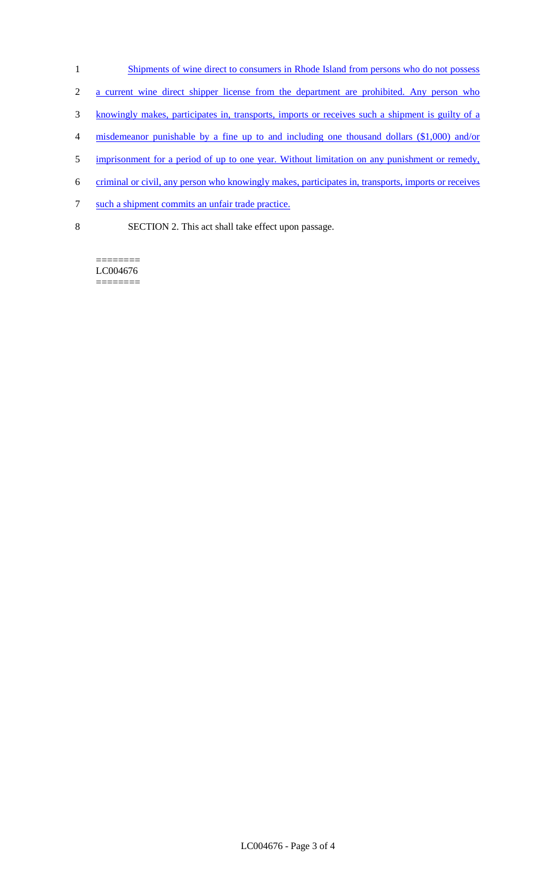- 1 Shipments of wine direct to consumers in Rhode Island from persons who do not possess
- 2 a current wine direct shipper license from the department are prohibited. Any person who
- 3 knowingly makes, participates in, transports, imports or receives such a shipment is guilty of a
- 4 misdemeanor punishable by a fine up to and including one thousand dollars (\$1,000) and/or
- 5 imprisonment for a period of up to one year. Without limitation on any punishment or remedy,
- 6 criminal or civil, any person who knowingly makes, participates in, transports, imports or receives
- 7 such a shipment commits an unfair trade practice.
- 8 SECTION 2. This act shall take effect upon passage.

======== LC004676 ========